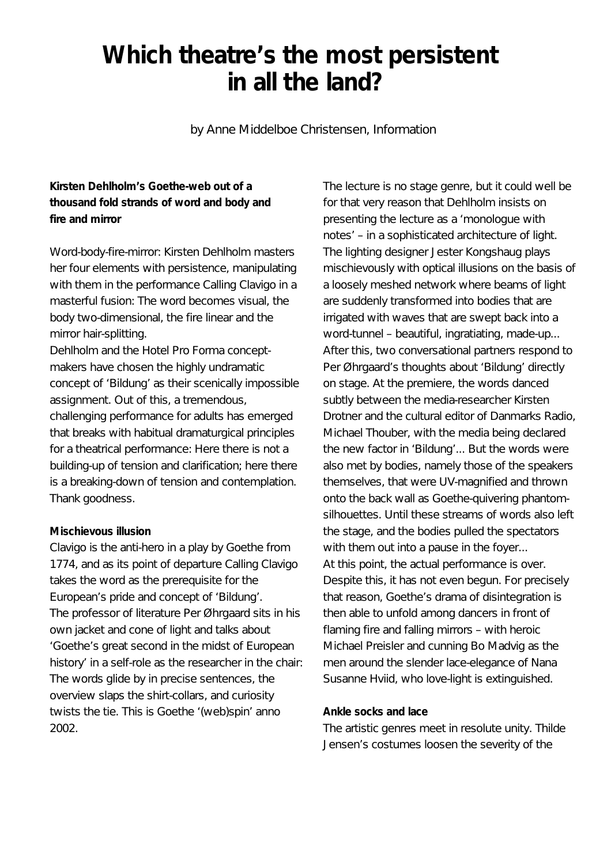## **Which theatre's the most persistent in all the land?**

by Anne Middelboe Christensen, Information

## **Kirsten Dehlholm's Goethe-web out of a thousand fold strands of word and body and fire and mirror**

Word-body-fire-mirror: Kirsten Dehlholm masters her four elements with persistence, manipulating with them in the performance Calling Clavigo in a masterful fusion: The word becomes visual, the body two-dimensional, the fire linear and the mirror hair-splitting.

Dehlholm and the Hotel Pro Forma conceptmakers have chosen the highly undramatic concept of 'Bildung' as their scenically impossible assignment. Out of this, a tremendous, challenging performance for adults has emerged that breaks with habitual dramaturgical principles for a theatrical performance: Here there is not a building-up of tension and clarification; here there is a breaking-down of tension and contemplation. Thank goodness.

## **Mischievous illusion**

Clavigo is the anti-hero in a play by Goethe from 1774, and as its point of departure Calling Clavigo takes the word as the prerequisite for the European's pride and concept of 'Bildung'. The professor of literature Per Øhrgaard sits in his own jacket and cone of light and talks about 'Goethe's great second in the midst of European history' in a self-role as the researcher in the chair: The words glide by in precise sentences, the overview slaps the shirt-collars, and curiosity twists the tie. This is Goethe '(web)spin' anno 2002.

The lecture is no stage genre, but it could well be for that very reason that Dehlholm insists on presenting the lecture as a 'monologue with notes' – in a sophisticated architecture of light. The lighting designer Jester Kongshaug plays mischievously with optical illusions on the basis of a loosely meshed network where beams of light are suddenly transformed into bodies that are irrigated with waves that are swept back into a word-tunnel – beautiful, ingratiating, made-up... After this, two conversational partners respond to Per Øhrgaard's thoughts about 'Bildung' directly on stage. At the premiere, the words danced subtly between the media-researcher Kirsten Drotner and the cultural editor of Danmarks Radio, Michael Thouber, with the media being declared the new factor in 'Bildung'... But the words were also met by bodies, namely those of the speakers themselves, that were UV-magnified and thrown onto the back wall as Goethe-quivering phantomsilhouettes. Until these streams of words also left the stage, and the bodies pulled the spectators with them out into a pause in the foyer... At this point, the actual performance is over. Despite this, it has not even begun. For precisely that reason, Goethe's drama of disintegration is then able to unfold among dancers in front of flaming fire and falling mirrors – with heroic Michael Preisler and cunning Bo Madvig as the men around the slender lace-elegance of Nana Susanne Hviid, who love-light is extinguished.

## **Ankle socks and lace**

The artistic genres meet in resolute unity. Thilde Jensen's costumes loosen the severity of the